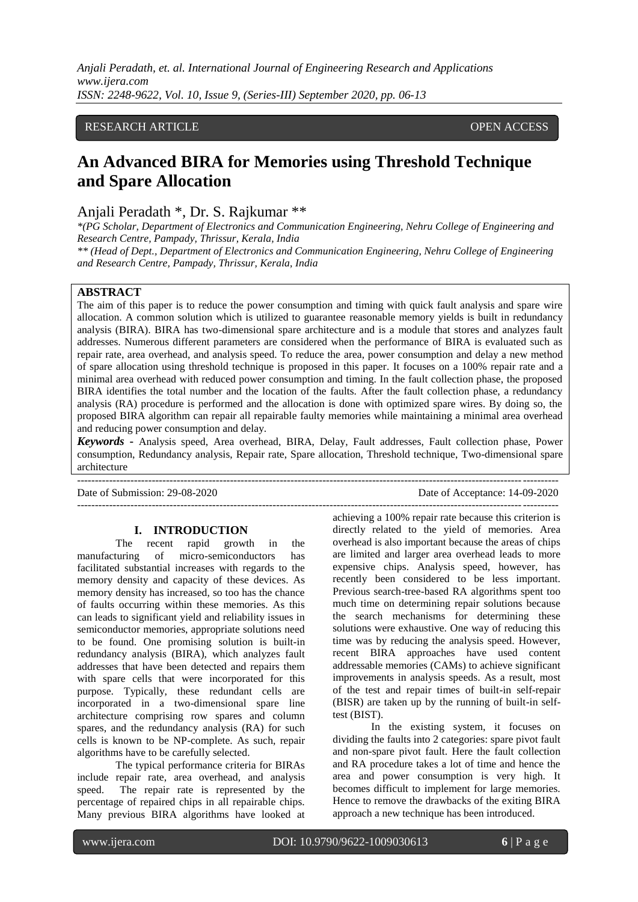## RESEARCH ARTICLE **CONSERVERS** OPEN ACCESS

# **An Advanced BIRA for Memories using Threshold Technique and Spare Allocation**

# Anjali Peradath \*, Dr. S. Rajkumar \*\*

*\*(PG Scholar, Department of Electronics and Communication Engineering, Nehru College of Engineering and Research Centre, Pampady, Thrissur, Kerala, India*

*\*\* (Head of Dept., Department of Electronics and Communication Engineering, Nehru College of Engineering and Research Centre, Pampady, Thrissur, Kerala, India*

## **ABSTRACT**

The aim of this paper is to reduce the power consumption and timing with quick fault analysis and spare wire allocation. A common solution which is utilized to guarantee reasonable memory yields is built in redundancy analysis (BIRA). BIRA has two-dimensional spare architecture and is a module that stores and analyzes fault addresses. Numerous different parameters are considered when the performance of BIRA is evaluated such as repair rate, area overhead, and analysis speed. To reduce the area, power consumption and delay a new method of spare allocation using threshold technique is proposed in this paper. It focuses on a 100% repair rate and a minimal area overhead with reduced power consumption and timing. In the fault collection phase, the proposed BIRA identifies the total number and the location of the faults. After the fault collection phase, a redundancy analysis (RA) procedure is performed and the allocation is done with optimized spare wires. By doing so, the proposed BIRA algorithm can repair all repairable faulty memories while maintaining a minimal area overhead and reducing power consumption and delay.

*Keywords* **-** Analysis speed, Area overhead, BIRA, Delay, Fault addresses, Fault collection phase, Power consumption, Redundancy analysis, Repair rate, Spare allocation, Threshold technique, Two-dimensional spare architecture

---------------------------------------------------------------------------------------------------------------------------------------

Date of Submission: 29-08-2020 Date of Acceptance: 14-09-2020

#### **I. INTRODUCTION**

The recent rapid growth in the manufacturing of micro-semiconductors has facilitated substantial increases with regards to the memory density and capacity of these devices. As memory density has increased, so too has the chance of faults occurring within these memories. As this can leads to significant yield and reliability issues in semiconductor memories, appropriate solutions need to be found. One promising solution is built-in redundancy analysis (BIRA), which analyzes fault addresses that have been detected and repairs them with spare cells that were incorporated for this purpose. Typically, these redundant cells are incorporated in a two-dimensional spare line architecture comprising row spares and column spares, and the redundancy analysis (RA) for such cells is known to be NP-complete. As such, repair algorithms have to be carefully selected.

The typical performance criteria for BIRAs include repair rate, area overhead, and analysis speed. The repair rate is represented by the percentage of repaired chips in all repairable chips. Many previous BIRA algorithms have looked at

-------------------------------------------------------------------------------------------------------------------------------------- achieving a 100% repair rate because this criterion is directly related to the yield of memories. Area overhead is also important because the areas of chips are limited and larger area overhead leads to more expensive chips. Analysis speed, however, has recently been considered to be less important. Previous search-tree-based RA algorithms spent too much time on determining repair solutions because the search mechanisms for determining these solutions were exhaustive. One way of reducing this time was by reducing the analysis speed. However, recent BIRA approaches have used content addressable memories (CAMs) to achieve significant improvements in analysis speeds. As a result, most of the test and repair times of built-in self-repair (BISR) are taken up by the running of built-in selftest (BIST).

In the existing system, it focuses on dividing the faults into 2 categories: spare pivot fault and non-spare pivot fault. Here the fault collection and RA procedure takes a lot of time and hence the area and power consumption is very high. It becomes difficult to implement for large memories. Hence to remove the drawbacks of the exiting BIRA approach a new technique has been introduced.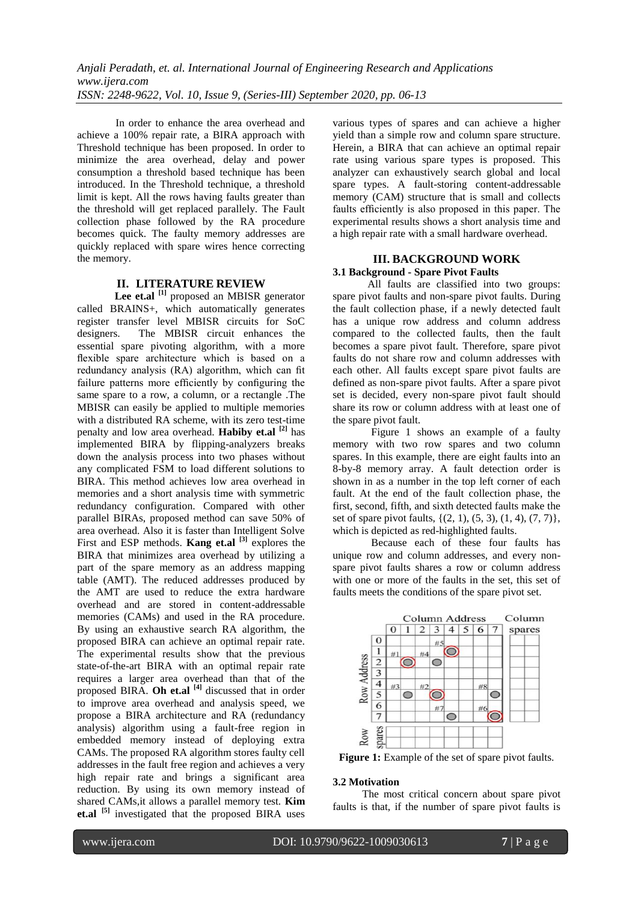In order to enhance the area overhead and achieve a 100% repair rate, a BIRA approach with Threshold technique has been proposed. In order to minimize the area overhead, delay and power consumption a threshold based technique has been introduced. In the Threshold technique, a threshold limit is kept. All the rows having faults greater than the threshold will get replaced parallely. The Fault collection phase followed by the RA procedure becomes quick. The faulty memory addresses are quickly replaced with spare wires hence correcting the memory.

## **II. LITERATURE REVIEW**

Lee et.al <sup>[1]</sup> proposed an MBISR generator called BRAINS+, which automatically generates register transfer level MBISR circuits for SoC designers. The MBISR circuit enhances the essential spare pivoting algorithm, with a more flexible spare architecture which is based on a redundancy analysis (RA) algorithm, which can fit failure patterns more efficiently by configuring the same spare to a row, a column, or a rectangle .The MBISR can easily be applied to multiple memories with a distributed RA scheme, with its zero test-time penalty and low area overhead. **Habiby et.al [2]** has implemented BIRA by flipping-analyzers breaks down the analysis process into two phases without any complicated FSM to load different solutions to BIRA. This method achieves low area overhead in memories and a short analysis time with symmetric redundancy configuration. Compared with other parallel BIRAs, proposed method can save 50% of area overhead. Also it is faster than Intelligent Solve First and ESP methods. **Kang et.al [3]** explores the BIRA that minimizes area overhead by utilizing a part of the spare memory as an address mapping table (AMT). The reduced addresses produced by the AMT are used to reduce the extra hardware overhead and are stored in content-addressable memories (CAMs) and used in the RA procedure. By using an exhaustive search RA algorithm, the proposed BIRA can achieve an optimal repair rate. The experimental results show that the previous state-of-the-art BIRA with an optimal repair rate requires a larger area overhead than that of the proposed BIRA. **Oh et.al [4]** discussed that in order to improve area overhead and analysis speed, we propose a BIRA architecture and RA (redundancy analysis) algorithm using a fault-free region in embedded memory instead of deploying extra CAMs. The proposed RA algorithm stores faulty cell addresses in the fault free region and achieves a very high repair rate and brings a significant area reduction. By using its own memory instead of shared CAMs,it allows a parallel memory test. **Kim et.al [5]** investigated that the proposed BIRA uses

various types of spares and can achieve a higher yield than a simple row and column spare structure. Herein, a BIRA that can achieve an optimal repair rate using various spare types is proposed. This analyzer can exhaustively search global and local spare types. A fault-storing content-addressable memory (CAM) structure that is small and collects faults efficiently is also proposed in this paper. The experimental results shows a short analysis time and a high repair rate with a small hardware overhead.

#### **III. BACKGROUND WORK 3.1 Background - Spare Pivot Faults**

 All faults are classified into two groups: spare pivot faults and non-spare pivot faults. During the fault collection phase, if a newly detected fault has a unique row address and column address compared to the collected faults, then the fault becomes a spare pivot fault. Therefore, spare pivot faults do not share row and column addresses with each other. All faults except spare pivot faults are defined as non-spare pivot faults. After a spare pivot set is decided, every non-spare pivot fault should share its row or column address with at least one of the spare pivot fault.

Figure 1 shows an example of a faulty memory with two row spares and two column spares. In this example, there are eight faults into an 8-by-8 memory array. A fault detection order is shown in as a number in the top left corner of each fault. At the end of the fault collection phase, the first, second, fifth, and sixth detected faults make the set of spare pivot faults, {(2, 1), (5, 3), (1, 4), (7, 7)}, which is depicted as red-highlighted faults.

Because each of these four faults has unique row and column addresses, and every nonspare pivot faults shares a row or column address with one or more of the faults in the set, this set of faults meets the conditions of the spare pivot set.



**Figure 1:** Example of the set of spare pivot faults.

#### **3.2 Motivation**

 The most critical concern about spare pivot faults is that, if the number of spare pivot faults is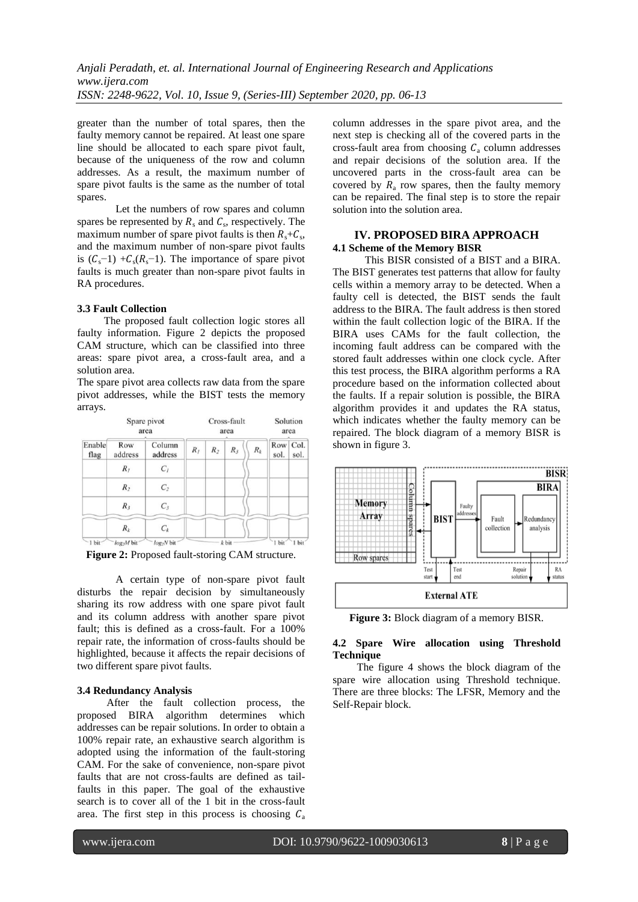greater than the number of total spares, then the faulty memory cannot be repaired. At least one spare line should be allocated to each spare pivot fault, because of the uniqueness of the row and column addresses. As a result, the maximum number of spare pivot faults is the same as the number of total spares.

Let the numbers of row spares and column spares be represented by  $R_s$  and  $C_s$ , respectively. The maximum number of spare pivot faults is then  $R_s + C_s$ , and the maximum number of non-spare pivot faults is  $(C_s-1) + C_s(R_s-1)$ . The importance of spare pivot faults is much greater than non-spare pivot faults in RA procedures.

#### **3.3 Fault Collection**

 The proposed fault collection logic stores all faulty information. Figure 2 depicts the proposed CAM structure, which can be classified into three areas: spare pivot area, a cross-fault area, and a solution area.

The spare pivot area collects raw data from the spare pivot addresses, while the BIST tests the memory arrays.

| Spare pivot<br>area |                        |                   |       | Cross-fault<br>area | Solution<br>area |       |             |              |
|---------------------|------------------------|-------------------|-------|---------------------|------------------|-------|-------------|--------------|
| Enable<br>flag      | Row<br>address         | Column<br>address | $R_I$ | $R_2$               | $R_3$            | $R_k$ | Row<br>sol. | Col.<br>sol. |
|                     | $R_{I}$                | $C_I$             |       |                     |                  |       |             |              |
|                     | $R_2$                  | C <sub>2</sub>    |       |                     |                  |       |             |              |
|                     | $R_{3}$                | $C_3$             |       |                     |                  |       |             |              |
|                     | $R_k$                  | $C_k$             |       |                     |                  |       |             |              |
| 1 bit               | log <sub>2</sub> M bit | $log_2N$ bit      |       |                     | $k$ bit          |       | 1 bit       | 1 bit        |

**Figure 2:** Proposed fault-storing CAM structure.

A certain type of non-spare pivot fault disturbs the repair decision by simultaneously sharing its row address with one spare pivot fault and its column address with another spare pivot fault; this is defined as a cross-fault. For a 100% repair rate, the information of cross-faults should be highlighted, because it affects the repair decisions of two different spare pivot faults.

#### **3.4 Redundancy Analysis**

 After the fault collection process, the proposed BIRA algorithm determines which addresses can be repair solutions. In order to obtain a 100% repair rate, an exhaustive search algorithm is adopted using the information of the fault-storing CAM. For the sake of convenience, non-spare pivot faults that are not cross-faults are defined as tailfaults in this paper. The goal of the exhaustive search is to cover all of the 1 bit in the cross-fault area. The first step in this process is choosing  $C_a$ 

column addresses in the spare pivot area, and the next step is checking all of the covered parts in the cross-fault area from choosing  $C_a$  column addresses and repair decisions of the solution area. If the uncovered parts in the cross-fault area can be covered by  $R_a$  row spares, then the faulty memory can be repaired. The final step is to store the repair solution into the solution area.

## **IV. PROPOSED BIRA APPROACH 4.1 Scheme of the Memory BISR**

 This BISR consisted of a BIST and a BIRA. The BIST generates test patterns that allow for faulty cells within a memory array to be detected. When a faulty cell is detected, the BIST sends the fault address to the BIRA. The fault address is then stored within the fault collection logic of the BIRA. If the BIRA uses CAMs for the fault collection, the incoming fault address can be compared with the stored fault addresses within one clock cycle. After this test process, the BIRA algorithm performs a RA procedure based on the information collected about the faults. If a repair solution is possible, the BIRA algorithm provides it and updates the RA status, which indicates whether the faulty memory can be repaired. The block diagram of a memory BISR is shown in figure 3.



**Figure 3:** Block diagram of a memory BISR.

#### **4.2 Spare Wire allocation using Threshold Technique**

 The figure 4 shows the block diagram of the spare wire allocation using Threshold technique. There are three blocks: The LFSR, Memory and the Self-Repair block.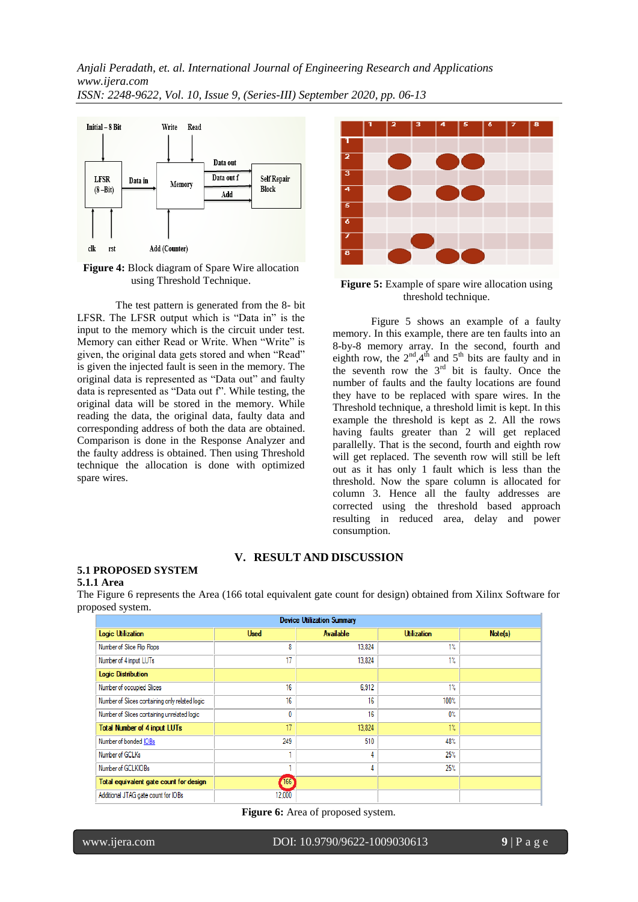

**Figure 4:** Block diagram of Spare Wire allocation using Threshold Technique.

The test pattern is generated from the 8- bit LFSR. The LFSR output which is "Data in" is the input to the memory which is the circuit under test. Memory can either Read or Write. When "Write" is given, the original data gets stored and when "Read" is given the injected fault is seen in the memory. The original data is represented as "Data out" and faulty data is represented as "Data out f". While testing, the original data will be stored in the memory. While reading the data, the original data, faulty data and corresponding address of both the data are obtained. Comparison is done in the Response Analyzer and the faulty address is obtained. Then using Threshold technique the allocation is done with optimized spare wires.



**Figure 5:** Example of spare wire allocation using threshold technique.

Figure 5 shows an example of a faulty memory. In this example, there are ten faults into an 8-by-8 memory array. In the second, fourth and eighth row, the  $2<sup>nd</sup>$ ,4<sup>th</sup> and 5<sup>th</sup> bits are faulty and in the seventh row the  $3<sup>rd</sup>$  bit is faulty. Once the number of faults and the faulty locations are found they have to be replaced with spare wires. In the Threshold technique, a threshold limit is kept. In this example the threshold is kept as 2. All the rows having faults greater than 2 will get replaced parallelly. That is the second, fourth and eighth row will get replaced. The seventh row will still be left out as it has only 1 fault which is less than the threshold. Now the spare column is allocated for column 3. Hence all the faulty addresses are corrected using the threshold based approach resulting in reduced area, delay and power consumption.

## **V. RESULT AND DISCUSSION**

#### **5.1 PROPOSED SYSTEM 5.1.1 Area**

The Figure 6 represents the Area (166 total equivalent gate count for design) obtained from Xilinx Software for proposed system.

| <b>Device Utilization Summary</b>              |             |                  |                    |         |  |  |  |  |  |  |  |
|------------------------------------------------|-------------|------------------|--------------------|---------|--|--|--|--|--|--|--|
| <b>Logic Utilization</b>                       | <b>Used</b> | <b>Available</b> | <b>Utilization</b> | Note(s) |  |  |  |  |  |  |  |
| Number of Slice Flip Flops                     | 8           | 13,824           | $1\%$              |         |  |  |  |  |  |  |  |
| Number of 4 input LUTs                         | 17          | 13,824           | $1\%$              |         |  |  |  |  |  |  |  |
| <b>Logic Distribution</b>                      |             |                  |                    |         |  |  |  |  |  |  |  |
| Number of occupied Slices                      | 16          | 6.912            | $1\%$              |         |  |  |  |  |  |  |  |
| Number of Slices containing only related logic | 16          | 16               | 100%               |         |  |  |  |  |  |  |  |
| Number of Slices containing unrelated logic    | 0           | 16               | 0%                 |         |  |  |  |  |  |  |  |
| <b>Total Number of 4 input LUTs</b>            | 17          | 13,824           | $1\%$              |         |  |  |  |  |  |  |  |
| Number of bonded IOBs                          | 249         | 510              | 48%                |         |  |  |  |  |  |  |  |
| Number of GCLKs                                |             | 4                | 25%                |         |  |  |  |  |  |  |  |
| Number of GCLKIOBs                             |             | 4                | 25%                |         |  |  |  |  |  |  |  |
| Total equivalent gate count for design         | <b>166</b>  |                  |                    |         |  |  |  |  |  |  |  |
| Additional JTAG gate count for IOBs            | 12,000      |                  |                    |         |  |  |  |  |  |  |  |

**Figure 6:** Area of proposed system.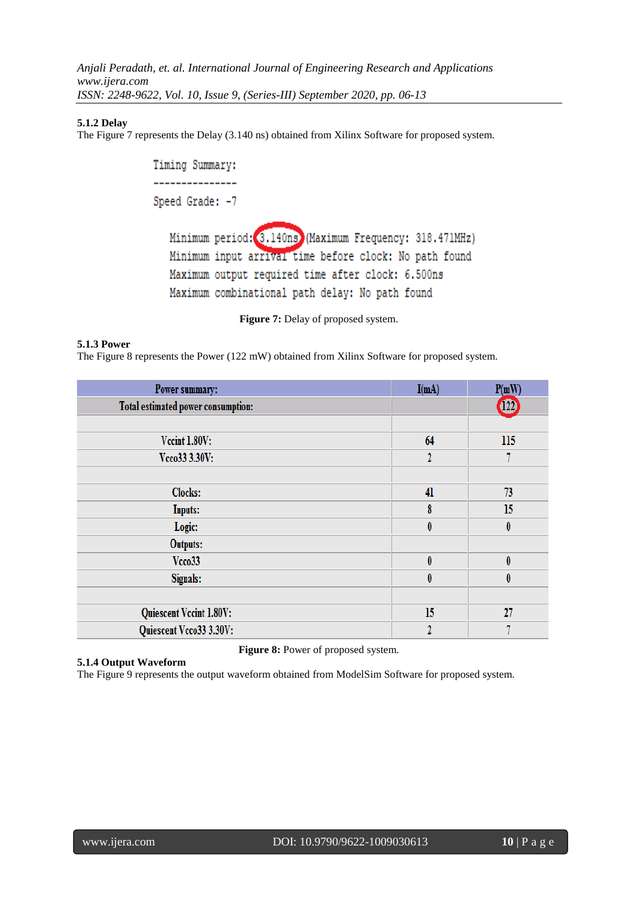## **5.1.2 Delay**

The Figure 7 represents the Delay (3.140 ns) obtained from Xilinx Software for proposed system.

```
Timing Summary:
---------------
Speed Grade: -7
  Minimum period: 3.140ns) (Maximum Frequency: 318.471MHz)
  Minimum input arrival time before clock: No path found
  Maximum output required time after clock: 6.500ns
  Maximum combinational path delay: No path found
```
Figure 7: Delay of proposed system.

## **5.1.3 Power**

The Figure 8 represents the Power (122 mW) obtained from Xilinx Software for proposed system.

| Power summary:                     | I(mA)          | P(mW)            |
|------------------------------------|----------------|------------------|
| Total estimated power consumption: |                | $\mathbf{w}$     |
|                                    |                |                  |
| Vecint 1.80V:                      | 64             | 115              |
| Vcco33 3.30V:                      | $\overline{2}$ |                  |
|                                    |                |                  |
| Clocks:                            | 41             | 73               |
| <b>Inputs:</b>                     | 8              | 15               |
| Logic:                             | $\bf{0}$       | $\pmb{0}$        |
| <b>Outputs:</b>                    |                |                  |
| Vcco33                             | $\bf{0}$       | $\boldsymbol{0}$ |
| Signals:                           | $\bf{0}$       | $\boldsymbol{0}$ |
|                                    |                |                  |
| Quiescent Vccint 1.80V:            | 15             | $\overline{27}$  |
| Quiescent Vcco33 3.30V:            | 2              |                  |

**Figure 8:** Power of proposed system. **5.1.4 Output Waveform**

The Figure 9 represents the output waveform obtained from ModelSim Software for proposed system.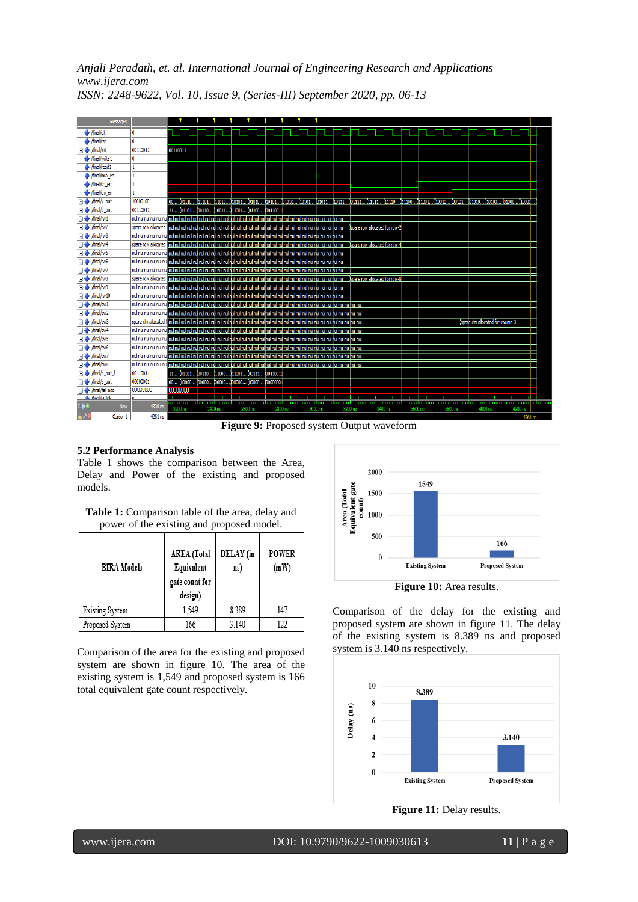|       | Messages                             |                 |          |                      |         |                                                 |         |         |         |         |                                |         |         |         |                                  |         |       |
|-------|--------------------------------------|-----------------|----------|----------------------|---------|-------------------------------------------------|---------|---------|---------|---------|--------------------------------|---------|---------|---------|----------------------------------|---------|-------|
|       | final/clk                            | $\mathbf{0}$    |          |                      |         |                                                 |         |         |         |         |                                |         |         |         |                                  |         |       |
|       | /final/rst                           | $\mathbf{0}$    |          |                      |         |                                                 |         |         |         |         |                                |         |         |         |                                  |         |       |
|       | /final/init                          | 00110011        | 00110011 |                      |         |                                                 |         |         |         |         |                                |         |         |         |                                  |         |       |
|       | $\blacktriangleright$ /final/write 1 | 0               |          |                      |         |                                                 |         |         |         |         |                                |         |         |         |                                  |         |       |
|       | /final/read1                         |                 |          |                      |         |                                                 |         |         |         |         |                                |         |         |         |                                  |         |       |
|       | /final/mra en                        |                 |          |                      |         |                                                 |         |         |         |         |                                |         |         |         |                                  |         |       |
|       | /final/sp_en                         |                 |          |                      |         |                                                 |         |         |         |         |                                |         |         |         |                                  |         |       |
|       | /final/cm en                         |                 |          |                      |         |                                                 |         |         |         |         |                                |         |         |         |                                  |         |       |
|       | final/v out                          | 10000100        |          | 101110 111101 111010 |         | I10101 I01010                                   |         |         |         |         |                                |         |         |         |                                  |         |       |
|       | $\Box \rightarrow$ /final/d out      | 00110011        |          |                      |         | 11 (01101 (00110 (10011 (11001 (01100 (00110011 |         |         |         |         |                                |         |         |         |                                  |         |       |
|       | /final/rw1                           |                 |          |                      |         |                                                 |         |         |         |         |                                |         |         |         |                                  |         |       |
|       | /final/rw2                           |                 |          |                      |         |                                                 |         |         |         |         |                                |         |         |         |                                  |         |       |
|       | /final/rw3                           |                 |          |                      |         |                                                 |         |         |         |         |                                |         |         |         |                                  |         |       |
|       | /final/rw4                           |                 |          |                      |         |                                                 |         |         |         |         | Ispare row allocated for row-4 |         |         |         |                                  |         |       |
|       | /final/rw5                           |                 |          |                      |         |                                                 |         |         |         |         |                                |         |         |         |                                  |         |       |
|       | /final/rw6                           |                 |          |                      |         |                                                 |         |         |         |         |                                |         |         |         |                                  |         |       |
|       | /final/rw7                           |                 |          |                      |         |                                                 |         |         |         |         |                                |         |         |         |                                  |         |       |
|       | /final/rw8                           |                 |          |                      |         |                                                 |         |         |         |         |                                |         |         |         |                                  |         |       |
|       | /final/rw9                           |                 |          |                      |         |                                                 |         |         |         |         |                                |         |         |         |                                  |         |       |
|       | /final/rw10                          |                 |          |                      |         |                                                 |         |         |         |         |                                |         |         |         |                                  |         |       |
|       | $\frac{1}{\text{final}/\text{cw1}}$  |                 |          |                      |         |                                                 |         |         |         |         |                                |         |         |         |                                  |         |       |
|       | /final/cw2                           |                 |          |                      |         |                                                 |         |         |         |         |                                |         |         |         |                                  |         |       |
|       | /final/cw3                           |                 |          |                      |         |                                                 |         |         |         |         |                                |         |         |         | Ispare dm allocated for column-3 |         |       |
|       | /final/cw4                           |                 |          |                      |         |                                                 |         |         |         |         |                                |         |         |         |                                  |         |       |
|       | /final/cw5                           |                 |          |                      |         |                                                 |         |         |         |         |                                |         |         |         |                                  |         |       |
|       | /final/cw6                           |                 |          |                      |         |                                                 |         |         |         |         |                                |         |         |         |                                  |         |       |
|       | /final/cw7                           |                 |          |                      |         |                                                 |         |         |         |         |                                |         |         |         |                                  |         |       |
|       | /final/cw8                           |                 |          |                      |         |                                                 |         |         |         |         |                                |         |         |         |                                  |         |       |
|       | /final/d_out_f                       | 00110011        |          |                      |         | 11 (01101 (00110 (11000 (11001 (00111 (00110011 |         |         |         |         |                                |         |         |         |                                  |         |       |
|       | /final/a out                         | 00000001        |          |                      |         |                                                 |         |         |         |         |                                |         |         |         |                                  |         |       |
|       | /final/fal add                       | <b>UUUUUUUU</b> | UUWUUU   |                      |         |                                                 |         |         |         |         |                                |         |         |         |                                  |         |       |
|       | /final hi0/elk                       |                 |          |                      |         |                                                 |         |         |         |         |                                |         |         |         |                                  |         | udunu |
| 4 T K | Now                                  | 4300 ns         | 2200 ns  |                      | 2400 ns |                                                 | 2600 ns | 2800 ns | 3000 ns | 3200 ns |                                | 3400 ns | 3600 ns | 3800 ns | 4000 ns                          | 4200 ns |       |
|       | Cursor 1                             | 4761 ns         |          |                      |         |                                                 |         |         |         |         |                                |         |         |         |                                  |         |       |

Figure 9: Proposed system Output waveform

#### **5.2 Performance Analysis**

Table 1 shows the comparison between the Area, Delay and Power of the existing and proposed models.

| <b>Table 1:</b> Comparison table of the area, delay and |
|---------------------------------------------------------|
| power of the existing and proposed model.               |

| <b>BIRA Models</b> | <b>AREA</b> (Total<br>Equivalent<br>gate count for<br>design) | DELAY (in<br>ns) | <b>POWER</b><br>(mW) |  |  |
|--------------------|---------------------------------------------------------------|------------------|----------------------|--|--|
| Existing System    | 1.549                                                         | 8.389            | 147                  |  |  |
| Proposed System    | 166                                                           | 3.140            | 122                  |  |  |

Comparison of the area for the existing and proposed system are shown in figure 10. The area of the existing system is 1,549 and proposed system is 166 total equivalent gate count respectively.



**Figure 10:** Area results.

Comparison of the delay for the existing and proposed system are shown in figure 11. The delay of the existing system is 8.389 ns and proposed system is 3.140 ns respectively.





י

www.ijera.com DOI: 10.9790/9622-1009030613 **11** | P a g e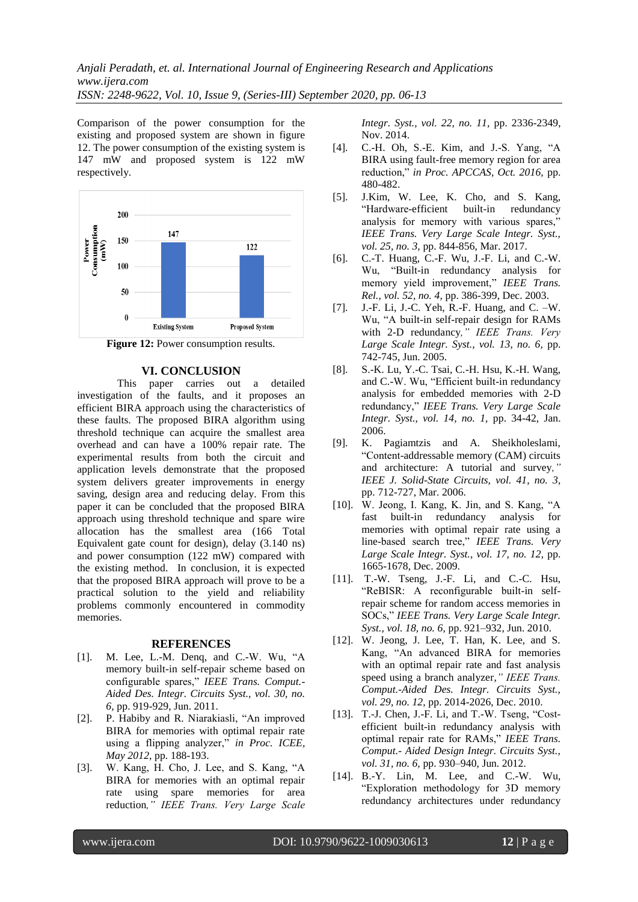Comparison of the power consumption for the existing and proposed system are shown in figure 12. The power consumption of the existing system is 147 mW and proposed system is 122 mW respectively.



Figure 12: Power consumption results.

## **VI. CONCLUSION**

 This paper carries out a detailed investigation of the faults, and it proposes an efficient BIRA approach using the characteristics of these faults. The proposed BIRA algorithm using threshold technique can acquire the smallest area overhead and can have a 100% repair rate. The experimental results from both the circuit and application levels demonstrate that the proposed system delivers greater improvements in energy saving, design area and reducing delay. From this paper it can be concluded that the proposed BIRA approach using threshold technique and spare wire allocation has the smallest area (166 Total Equivalent gate count for design), delay (3.140 ns) and power consumption (122 mW) compared with the existing method. In conclusion, it is expected that the proposed BIRA approach will prove to be a practical solution to the yield and reliability problems commonly encountered in commodity memories.

#### **REFERENCES**

- [1]. M. Lee, L.-M. Denq, and C.-W. Wu, "A memory built-in self-repair scheme based on configurable spares," *IEEE Trans. Comput.- Aided Des. Integr. Circuits Syst., vol. 30, no. 6,* pp. 919-929, Jun. 2011.
- [2]. P. Habiby and R. Niarakiasli, "An improved BIRA for memories with optimal repair rate using a flipping analyzer," *in Proc. ICEE, May 2012*, pp. 188-193.
- [3]. W. Kang, H. Cho, J. Lee, and S. Kang, "A BIRA for memories with an optimal repair rate using spare memories for area reduction*," IEEE Trans. Very Large Scale*

*Integr. Syst., vol. 22, no. 11,* pp. 2336-2349, Nov. 2014.

- [4]. C.-H. Oh, S.-E. Kim, and J.-S. Yang, "A BIRA using fault-free memory region for area reduction," *in Proc. APCCAS, Oct. 2016,* pp. 480-482.
- [5]. J.Kim, W. Lee, K. Cho, and S. Kang, "Hardware-efficient built-in redundancy analysis for memory with various spares,' *IEEE Trans. Very Large Scale Integr. Syst., vol. 25, no. 3,* pp. 844-856, Mar. 2017.
- [6]. C.-T. Huang, C.-F. Wu, J.-F. Li, and C.-W. Wu, "Built-in redundancy analysis for memory yield improvement," *IEEE Trans. Rel., vol. 52, no. 4,* pp. 386-399, Dec. 2003.
- [7]. J.-F. Li, J.-C. Yeh, R.-F. Huang, and C. –W. Wu, "A built-in self-repair design for RAMs with 2-D redundancy*," IEEE Trans. Very Large Scale Integr. Syst., vol. 13, no. 6,* pp. 742-745, Jun. 2005.
- [8]. S.-K. Lu, Y.-C. Tsai, C.-H. Hsu, K.-H. Wang, and C.-W. Wu, "Efficient built-in redundancy analysis for embedded memories with 2-D redundancy," *IEEE Trans. Very Large Scale Integr. Syst., vol. 14, no. 1,* pp. 34-42, Jan. 2006.
- [9]. K. Pagiamtzis and A. Sheikholeslami, "Content-addressable memory (CAM) circuits and architecture: A tutorial and survey*," IEEE J. Solid-State Circuits, vol. 41, no. 3,* pp. 712-727, Mar. 2006.
- [10]. W. Jeong, I. Kang, K. Jin, and S. Kang, "A fast built-in redundancy analysis for memories with optimal repair rate using a line-based search tree," *IEEE Trans. Very Large Scale Integr. Syst., vol. 17, no. 12,* pp. 1665-1678, Dec. 2009.
- [11]. T.-W. Tseng, J.-F. Li, and C.-C. Hsu, "ReBISR: A reconfigurable built-in selfrepair scheme for random access memories in SOCs," *IEEE Trans. Very Large Scale Integr. Syst., vol. 18, no. 6,* pp. 921–932, Jun. 2010.
- [12]. W. Jeong, J. Lee, T. Han, K. Lee, and S. Kang, "An advanced BIRA for memories with an optimal repair rate and fast analysis speed using a branch analyzer,*" IEEE Trans. Comput.-Aided Des. Integr. Circuits Syst., vol. 29, no. 12,* pp. 2014-2026, Dec. 2010.
- [13]. T.-J. Chen, J.-F. Li, and T.-W. Tseng, "Costefficient built-in redundancy analysis with optimal repair rate for RAMs," *IEEE Trans. Comput.- Aided Design Integr. Circuits Syst., vol. 31, no. 6,* pp. 930–940, Jun. 2012.
- [14]. B.-Y. Lin, M. Lee, and C.-W. Wu, "Exploration methodology for 3D memory redundancy architectures under redundancy